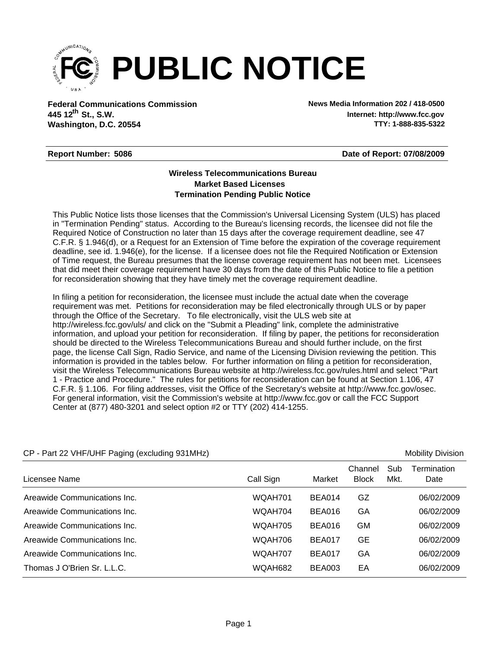

**Federal Communications Commission News Media Information 202 / 418-0500 Washington, D.C. 20554 th 445 12 St., S.W.**

**Internet: http://www.fcc.gov TTY: 1-888-835-5322**

## **Report Number: 5086**

**Date of Report: 07/08/2009**

## **Wireless Telecommunications Bureau Market Based Licenses Termination Pending Public Notice**

This Public Notice lists those licenses that the Commission's Universal Licensing System (ULS) has placed in "Termination Pending" status. According to the Bureau's licensing records, the licensee did not file the Required Notice of Construction no later than 15 days after the coverage requirement deadline, see 47 C.F.R. § 1.946(d), or a Request for an Extension of Time before the expiration of the coverage requirement deadline, see id. 1.946(e), for the license. If a licensee does not file the Required Notification or Extension of Time request, the Bureau presumes that the license coverage requirement has not been met. Licensees that did meet their coverage requirement have 30 days from the date of this Public Notice to file a petition for reconsideration showing that they have timely met the coverage requirement deadline.

In filing a petition for reconsideration, the licensee must include the actual date when the coverage requirement was met. Petitions for reconsideration may be filed electronically through ULS or by paper through the Office of the Secretary. To file electronically, visit the ULS web site at http://wireless.fcc.gov/uls/ and click on the "Submit a Pleading" link, complete the administrative information, and upload your petition for reconsideration. If filing by paper, the petitions for reconsideration should be directed to the Wireless Telecommunications Bureau and should further include, on the first page, the license Call Sign, Radio Service, and name of the Licensing Division reviewing the petition. This information is provided in the tables below. For further information on filing a petition for reconsideration, visit the Wireless Telecommunications Bureau website at http://wireless.fcc.gov/rules.html and select "Part 1 - Practice and Procedure." The rules for petitions for reconsideration can be found at Section 1.106, 47 C.F.R. § 1.106. For filing addresses, visit the Office of the Secretary's website at http://www.fcc.gov/osec. For general information, visit the Commission's website at http://www.fcc.gov or call the FCC Support Center at (877) 480-3201 and select option #2 or TTY (202) 414-1255.

| $CF - F$ alt $ZZ$ v $H$ r/U $H$ r Fagilig (excluding 93 Hym2) |           |               |                         |             | <b>IVIODIIILY LIVISIOII</b> |
|---------------------------------------------------------------|-----------|---------------|-------------------------|-------------|-----------------------------|
| Licensee Name                                                 | Call Sign | Market        | Channel<br><b>Block</b> | Sub<br>Mkt. | Termination<br>Date         |
| Areawide Communications Inc.                                  | WQAH701   | BEA014        | GZ                      |             | 06/02/2009                  |
| Areawide Communications Inc.                                  | WQAH704   | <b>BEA016</b> | GA                      |             | 06/02/2009                  |
| Areawide Communications Inc.                                  | WQAH705   | <b>BEA016</b> | GМ                      |             | 06/02/2009                  |
| Areawide Communications Inc.                                  | WQAH706   | <b>BEA017</b> | GE                      |             | 06/02/2009                  |
| Areawide Communications Inc.                                  | WQAH707   | <b>BEA017</b> | GA                      |             | 06/02/2009                  |
| Thomas J O'Brien Sr. L.L.C.                                   | WQAH682   | <b>BEA003</b> | EA                      |             | 06/02/2009                  |

## CP - Part 22 VHF/UHF Paging (excluding 931MHz) Mobility Division